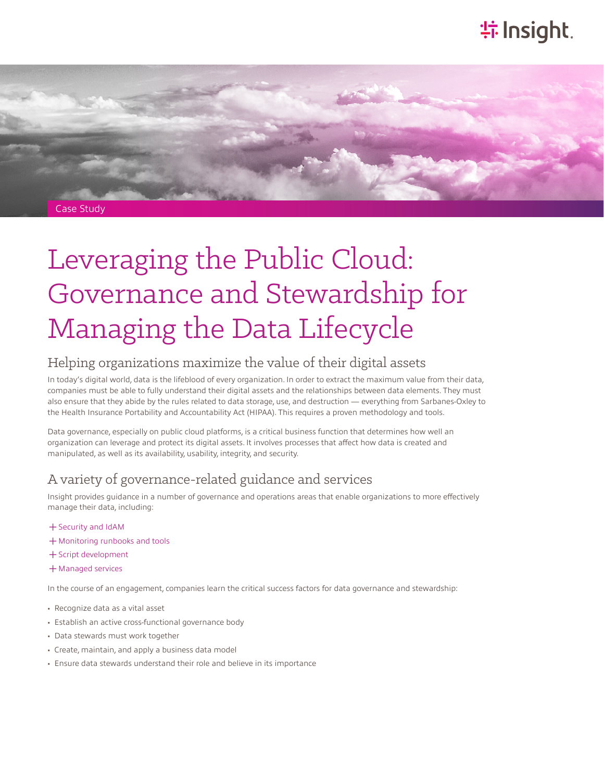# **特Insight**



# Leveraging the Public Cloud: Governance and Stewardship for Managing the Data Lifecycle

## Helping organizations maximize the value of their digital assets

In today's digital world, data is the lifeblood of every organization. In order to extract the maximum value from their data, companies must be able to fully understand their digital assets and the relationships between data elements. They must also ensure that they abide by the rules related to data storage, use, and destruction — everything from Sarbanes-Oxley to the Health Insurance Portability and Accountability Act (HIPAA). This requires a proven methodology and tools.

Data governance, especially on public cloud platforms, is a critical business function that determines how well an organization can leverage and protect its digital assets. It involves processes that affect how data is created and manipulated, as well as its availability, usability, integrity, and security.

## A variety of governance-related guidance and services

Insight provides guidance in a number of governance and operations areas that enable organizations to more effectively manage their data, including:

- ͓Security and IdAM
- ͓Monitoring runbooks and tools
- ͓Script development
- ͓Managed services

In the course of an engagement, companies learn the critical success factors for data governance and stewardship:

- Recognize data as a vital asset
- Establish an active cross-functional governance body
- Data stewards must work together
- Create, maintain, and apply a business data model
- Ensure data stewards understand their role and believe in its importance